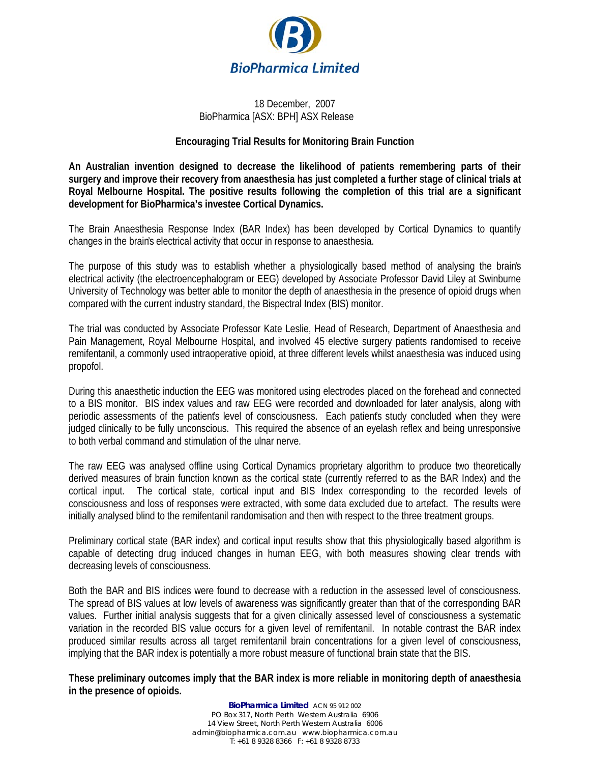

#### 18 December, 2007 BioPharmica [ASX: BPH] ASX Release

#### **Encouraging Trial Results for Monitoring Brain Function**

**An Australian invention designed to decrease the likelihood of patients remembering parts of their surgery and improve their recovery from anaesthesia has just completed a further stage of clinical trials at Royal Melbourne Hospital. The positive results following the completion of this trial are a significant development for BioPharmica's investee Cortical Dynamics.**

The Brain Anaesthesia Response Index (BAR Index) has been developed by Cortical Dynamics to quantify changes in the brain's electrical activity that occur in response to anaesthesia.

The purpose of this study was to establish whether a physiologically based method of analysing the brain's electrical activity (the electroencephalogram or EEG) developed by Associate Professor David Liley at Swinburne University of Technology was better able to monitor the depth of anaesthesia in the presence of opioid drugs when compared with the current industry standard, the Bispectral Index (BIS) monitor.

The trial was conducted by Associate Professor Kate Leslie, Head of Research, Department of Anaesthesia and Pain Management, Royal Melbourne Hospital, and involved 45 elective surgery patients randomised to receive remifentanil, a commonly used intraoperative opioid, at three different levels whilst anaesthesia was induced using propofol.

During this anaesthetic induction the EEG was monitored using electrodes placed on the forehead and connected to a BIS monitor. BIS index values and raw EEG were recorded and downloaded for later analysis, along with periodic assessments of the patient's level of consciousness. Each patient's study concluded when they were judged clinically to be fully unconscious. This required the absence of an eyelash reflex and being unresponsive to both verbal command and stimulation of the ulnar nerve.

The raw EEG was analysed offline using Cortical Dynamics proprietary algorithm to produce two theoretically derived measures of brain function known as the cortical state (currently referred to as the BAR Index) and the cortical input. The cortical state, cortical input and BIS Index corresponding to the recorded levels of consciousness and loss of responses were extracted, with some data excluded due to artefact. The results were initially analysed blind to the remifentanil randomisation and then with respect to the three treatment groups.

Preliminary cortical state (BAR index) and cortical input results show that this physiologically based algorithm is capable of detecting drug induced changes in human EEG, with both measures showing clear trends with decreasing levels of consciousness.

Both the BAR and BIS indices were found to decrease with a reduction in the assessed level of consciousness. The spread of BIS values at low levels of awareness was significantly greater than that of the corresponding BAR values. Further initial analysis suggests that for a given clinically assessed level of consciousness a systematic variation in the recorded BIS value occurs for a given level of remifentanil. In notable contrast the BAR index produced similar results across all target remifentanil brain concentrations for a given level of consciousness, implying that the BAR index is potentially a more robust measure of functional brain state that the BIS.

**These preliminary outcomes imply that the BAR index is more reliable in monitoring depth of anaesthesia in the presence of opioids.** 

> **BioPharmica Limited** ACN 95 912 002 PO Box 317, North Perth Western Australia 6906 14 View Street, North Perth Western Australia 6006 admin@biopharmica.com.au www.biopharmica.com.au T: +61 8 9328 8366 F: +61 8 9328 8733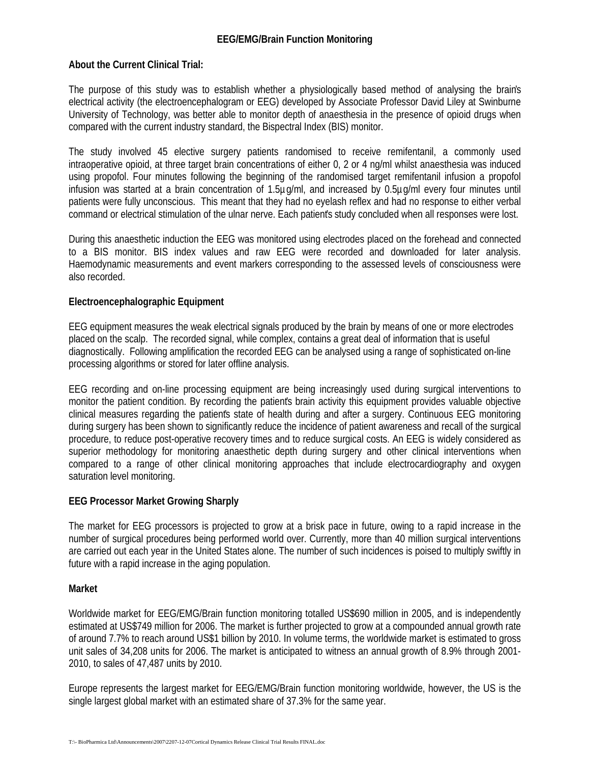## **About the Current Clinical Trial:**

The purpose of this study was to establish whether a physiologically based method of analysing the brain's electrical activity (the electroencephalogram or EEG) developed by Associate Professor David Liley at Swinburne University of Technology, was better able to monitor depth of anaesthesia in the presence of opioid drugs when compared with the current industry standard, the Bispectral Index (BIS) monitor.

The study involved 45 elective surgery patients randomised to receive remifentanil, a commonly used intraoperative opioid, at three target brain concentrations of either 0, 2 or 4 ng/ml whilst anaesthesia was induced using propofol. Four minutes following the beginning of the randomised target remifentanil infusion a propofol infusion was started at a brain concentration of 1.5µg/ml, and increased by 0.5µg/ml every four minutes until patients were fully unconscious. This meant that they had no eyelash reflex and had no response to either verbal command or electrical stimulation of the ulnar nerve. Each patient's study concluded when all responses were lost.

During this anaesthetic induction the EEG was monitored using electrodes placed on the forehead and connected to a BIS monitor. BIS index values and raw EEG were recorded and downloaded for later analysis. Haemodynamic measurements and event markers corresponding to the assessed levels of consciousness were also recorded.

# **Electroencephalographic Equipment**

EEG equipment measures the weak electrical signals produced by the brain by means of one or more electrodes placed on the scalp. The recorded signal, while complex, contains a great deal of information that is useful diagnostically. Following amplification the recorded EEG can be analysed using a range of sophisticated on-line processing algorithms or stored for later offline analysis.

EEG recording and on-line processing equipment are being increasingly used during surgical interventions to monitor the patient condition. By recording the patient's brain activity this equipment provides valuable objective clinical measures regarding the patient's state of health during and after a surgery. Continuous EEG monitoring during surgery has been shown to significantly reduce the incidence of patient awareness and recall of the surgical procedure, to reduce post-operative recovery times and to reduce surgical costs. An EEG is widely considered as superior methodology for monitoring anaesthetic depth during surgery and other clinical interventions when compared to a range of other clinical monitoring approaches that include electrocardiography and oxygen saturation level monitoring.

## **EEG Processor Market Growing Sharply**

The market for EEG processors is projected to grow at a brisk pace in future, owing to a rapid increase in the number of surgical procedures being performed world over. Currently, more than 40 million surgical interventions are carried out each year in the United States alone. The number of such incidences is poised to multiply swiftly in future with a rapid increase in the aging population.

## **Market**

Worldwide market for EEG/EMG/Brain function monitoring totalled US\$690 million in 2005, and is independently estimated at US\$749 million for 2006. The market is further projected to grow at a compounded annual growth rate of around 7.7% to reach around US\$1 billion by 2010. In volume terms, the worldwide market is estimated to gross unit sales of 34,208 units for 2006. The market is anticipated to witness an annual growth of 8.9% through 2001- 2010, to sales of 47,487 units by 2010.

Europe represents the largest market for EEG/EMG/Brain function monitoring worldwide, however, the US is the single largest global market with an estimated share of 37.3% for the same year.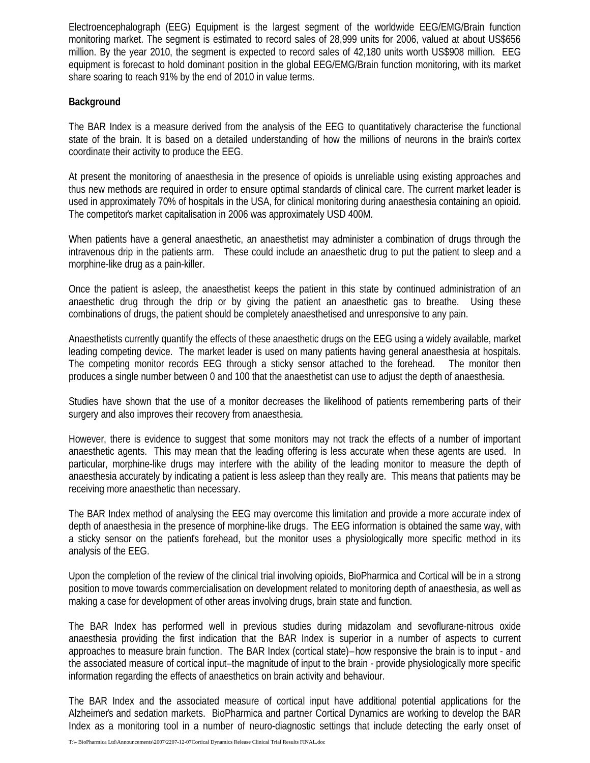Electroencephalograph (EEG) Equipment is the largest segment of the worldwide EEG/EMG/Brain function monitoring market. The segment is estimated to record sales of 28,999 units for 2006, valued at about US\$656 million. By the year 2010, the segment is expected to record sales of 42,180 units worth US\$908 million. EEG equipment is forecast to hold dominant position in the global EEG/EMG/Brain function monitoring, with its market share soaring to reach 91% by the end of 2010 in value terms.

## **Background**

The BAR Index is a measure derived from the analysis of the EEG to quantitatively characterise the functional state of the brain. It is based on a detailed understanding of how the millions of neurons in the brain's cortex coordinate their activity to produce the EEG.

At present the monitoring of anaesthesia in the presence of opioids is unreliable using existing approaches and thus new methods are required in order to ensure optimal standards of clinical care. The current market leader is used in approximately 70% of hospitals in the USA, for clinical monitoring during anaesthesia containing an opioid. The competitor's market capitalisation in 2006 was approximately USD 400M.

When patients have a general anaesthetic, an anaesthetist may administer a combination of drugs through the intravenous drip in the patients arm. These could include an anaesthetic drug to put the patient to sleep and a morphine-like drug as a pain-killer.

Once the patient is asleep, the anaesthetist keeps the patient in this state by continued administration of an anaesthetic drug through the drip or by giving the patient an anaesthetic gas to breathe. Using these combinations of drugs, the patient should be completely anaesthetised and unresponsive to any pain.

Anaesthetists currently quantify the effects of these anaesthetic drugs on the EEG using a widely available, market leading competing device. The market leader is used on many patients having general anaesthesia at hospitals. The competing monitor records EEG through a sticky sensor attached to the forehead. The monitor then produces a single number between 0 and 100 that the anaesthetist can use to adjust the depth of anaesthesia.

Studies have shown that the use of a monitor decreases the likelihood of patients remembering parts of their surgery and also improves their recovery from anaesthesia.

However, there is evidence to suggest that some monitors may not track the effects of a number of important anaesthetic agents. This may mean that the leading offering is less accurate when these agents are used. In particular, morphine-like drugs may interfere with the ability of the leading monitor to measure the depth of anaesthesia accurately by indicating a patient is less asleep than they really are. This means that patients may be receiving more anaesthetic than necessary.

The BAR Index method of analysing the EEG may overcome this limitation and provide a more accurate index of depth of anaesthesia in the presence of morphine-like drugs. The EEG information is obtained the same way, with a sticky sensor on the patient's forehead, but the monitor uses a physiologically more specific method in its analysis of the EEG.

Upon the completion of the review of the clinical trial involving opioids, BioPharmica and Cortical will be in a strong position to move towards commercialisation on development related to monitoring depth of anaesthesia, as well as making a case for development of other areas involving drugs, brain state and function.

The BAR Index has performed well in previous studies during midazolam and sevoflurane-nitrous oxide anaesthesia providing the first indication that the BAR Index is superior in a number of aspects to current approaches to measure brain function. The BAR Index (cortical state) – how responsive the brain is to input - and the associated measure of cortical input–the magnitude of input to the brain - provide physiologically more specific information regarding the effects of anaesthetics on brain activity and behaviour.

The BAR Index and the associated measure of cortical input have additional potential applications for the Alzheimer's and sedation markets. BioPharmica and partner Cortical Dynamics are working to develop the BAR Index as a monitoring tool in a number of neuro-diagnostic settings that include detecting the early onset of